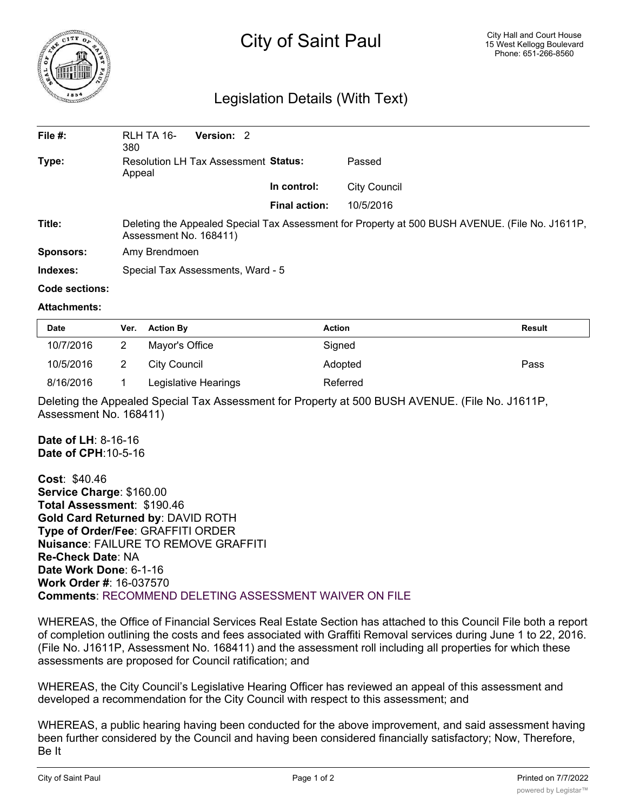

## City of Saint Paul

## Legislation Details (With Text)

| File #:   | RLH TA 16-<br><b>Version: 2</b><br>380                                                                                    |                      |              |  |  |
|-----------|---------------------------------------------------------------------------------------------------------------------------|----------------------|--------------|--|--|
| Type:     | Resolution LH Tax Assessment Status:<br>Appeal                                                                            |                      | Passed       |  |  |
|           |                                                                                                                           | In control:          | City Council |  |  |
|           |                                                                                                                           | <b>Final action:</b> | 10/5/2016    |  |  |
| Title:    | Deleting the Appealed Special Tax Assessment for Property at 500 BUSH AVENUE. (File No. J1611P,<br>Assessment No. 168411) |                      |              |  |  |
| Sponsors: | Amy Brendmoen                                                                                                             |                      |              |  |  |
| Indexes:  | Special Tax Assessments, Ward - 5                                                                                         |                      |              |  |  |

## **Code sections:**

## **Attachments:**

| <b>Date</b> | Ver. | <b>Action By</b>     | <b>Action</b> | Result |
|-------------|------|----------------------|---------------|--------|
| 10/7/2016   |      | Mayor's Office       | Signed        |        |
| 10/5/2016   |      | City Council         | Adopted       | Pass   |
| 8/16/2016   |      | Legislative Hearings | Referred      |        |

Deleting the Appealed Special Tax Assessment for Property at 500 BUSH AVENUE. (File No. J1611P, Assessment No. 168411)

**Date of LH**: 8-16-16 **Date of CPH**:10-5-16

**Cost**: \$40.46 **Service Charge**: \$160.00 **Total Assessment**: \$190.46 **Gold Card Returned by**: DAVID ROTH **Type of Order/Fee**: GRAFFITI ORDER **Nuisance**: FAILURE TO REMOVE GRAFFITI **Re-Check Date**: NA **Date Work Done**: 6-1-16 **Work Order #**: 16-037570 **Comments**: RECOMMEND DELETING ASSESSMENT WAIVER ON FILE

WHEREAS, the Office of Financial Services Real Estate Section has attached to this Council File both a report of completion outlining the costs and fees associated with Graffiti Removal services during June 1 to 22, 2016. (File No. J1611P, Assessment No. 168411) and the assessment roll including all properties for which these assessments are proposed for Council ratification; and

WHEREAS, the City Council's Legislative Hearing Officer has reviewed an appeal of this assessment and developed a recommendation for the City Council with respect to this assessment; and

WHEREAS, a public hearing having been conducted for the above improvement, and said assessment having been further considered by the Council and having been considered financially satisfactory; Now, Therefore, Be It